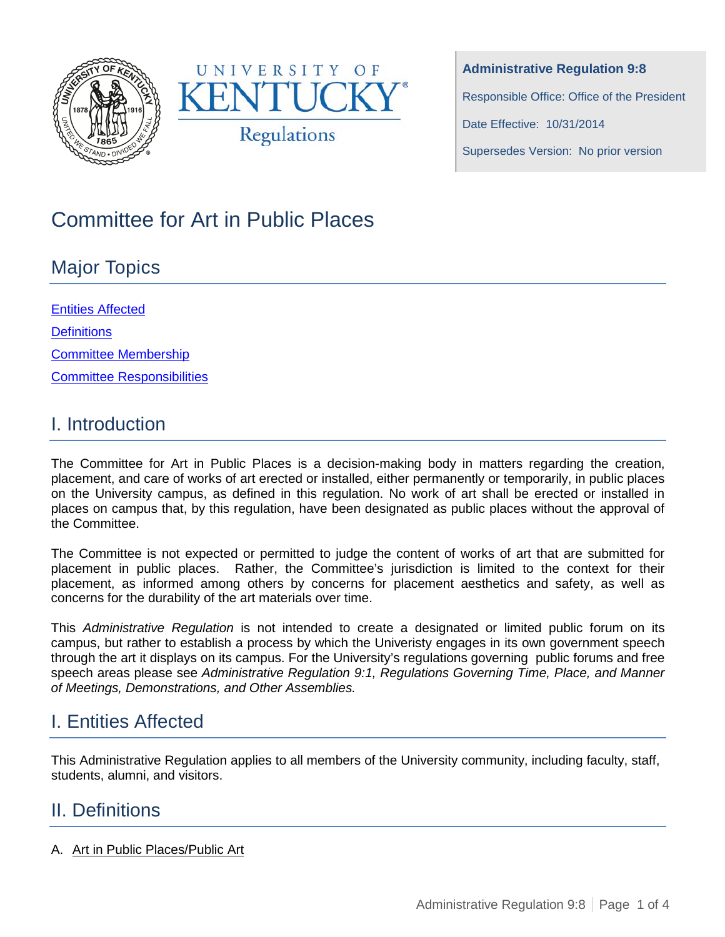



**Administrative Regulation 9:8** Responsible Office: Office of the President Date Effective: 10/31/2014

Supersedes Version: No prior version

# Committee for Art in Public Places

# Major Topics

Entities Affected **Definitions** Committee Membership [Committee Responsibilities](#page-2-0)

### I. Introduction

The Committee for Art in Public Places is a decision-making body in matters regarding the creation, placement, and care of works of art erected or installed, either permanently or temporarily, in public places on the University campus, as defined in this regulation. No work of art shall be erected or installed in places on campus that, by this regulation, have been designated as public places without the approval of the Committee.

The Committee is not expected or permitted to judge the content of works of art that are submitted for placement in public places. Rather, the Committee's jurisdiction is limited to the context for their placement, as informed among others by concerns for placement aesthetics and safety, as well as concerns for the durability of the art materials over time.

This *Administrative Regulation* is not intended to create a designated or limited public forum on its campus, but rather to establish a process by which the Univeristy engages in its own government speech through the art it displays on its campus. For the University's regulations governing public forums and free speech areas please see *Administrative Regulation 9:1, Regulations Governing Time, Place, and Manner of Meetings, Demonstrations, and Other Assemblies.*

# I. Entities Affected

This Administrative Regulation applies to all members of the University community, including faculty, staff, students, alumni, and visitors.

### II. Definitions

A. Art in Public Places/Public Art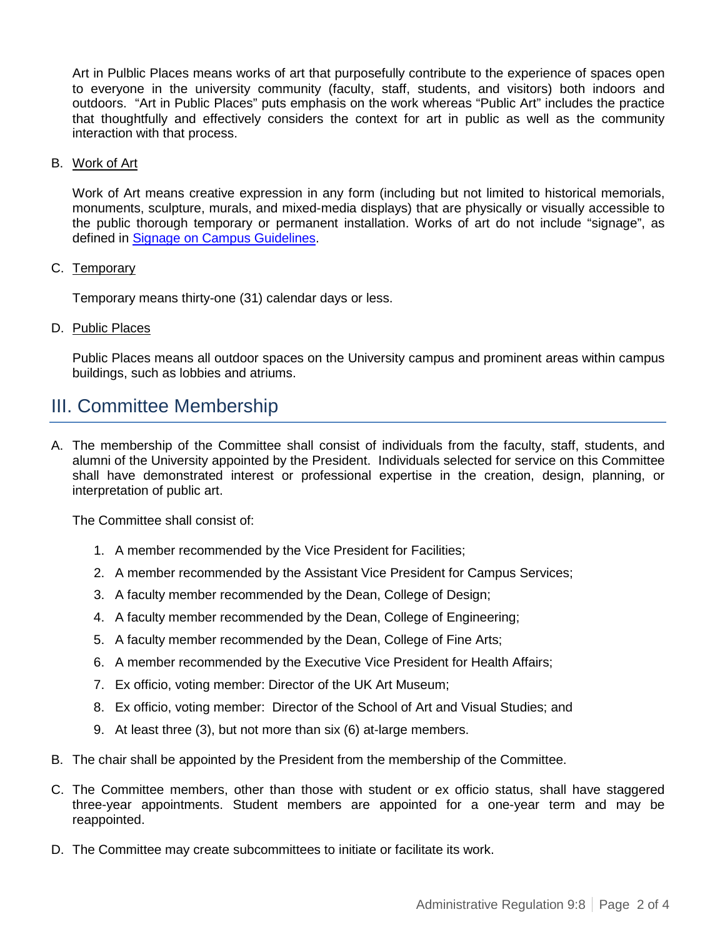Art in Pulblic Places means works of art that purposefully contribute to the experience of spaces open to everyone in the university community (faculty, staff, students, and visitors) both indoors and outdoors. "Art in Public Places" puts emphasis on the work whereas "Public Art" includes the practice that thoughtfully and effectively considers the context for art in public as well as the community interaction with that process.

#### B. Work of Art

Work of Art means creative expression in any form (including but not limited to historical memorials, monuments, sculpture, murals, and mixed-media displays) that are physically or visually accessible to the public thorough temporary or permanent installation. Works of art do not include "signage", as defined in [Signage on Campus Guidelines.](http://www.uky.edu/Graphics/SignagePolicy.pdf)

#### C. Temporary

Temporary means thirty-one (31) calendar days or less.

#### D. Public Places

Public Places means all outdoor spaces on the University campus and prominent areas within campus buildings, such as lobbies and atriums.

### III. Committee Membership

A. The membership of the Committee shall consist of individuals from the faculty, staff, students, and alumni of the University appointed by the President. Individuals selected for service on this Committee shall have demonstrated interest or professional expertise in the creation, design, planning, or interpretation of public art.

The Committee shall consist of:

- 1. A member recommended by the Vice President for Facilities;
- 2. A member recommended by the Assistant Vice President for Campus Services;
- 3. A faculty member recommended by the Dean, College of Design;
- 4. A faculty member recommended by the Dean, College of Engineering;
- 5. A faculty member recommended by the Dean, College of Fine Arts;
- 6. A member recommended by the Executive Vice President for Health Affairs;
- 7. Ex officio, voting member: Director of the UK Art Museum;
- 8. Ex officio, voting member: Director of the School of Art and Visual Studies; and
- 9. At least three (3), but not more than six (6) at-large members.
- B. The chair shall be appointed by the President from the membership of the Committee.
- C. The Committee members, other than those with student or ex officio status, shall have staggered three-year appointments. Student members are appointed for a one-year term and may be reappointed.
- D. The Committee may create subcommittees to initiate or facilitate its work.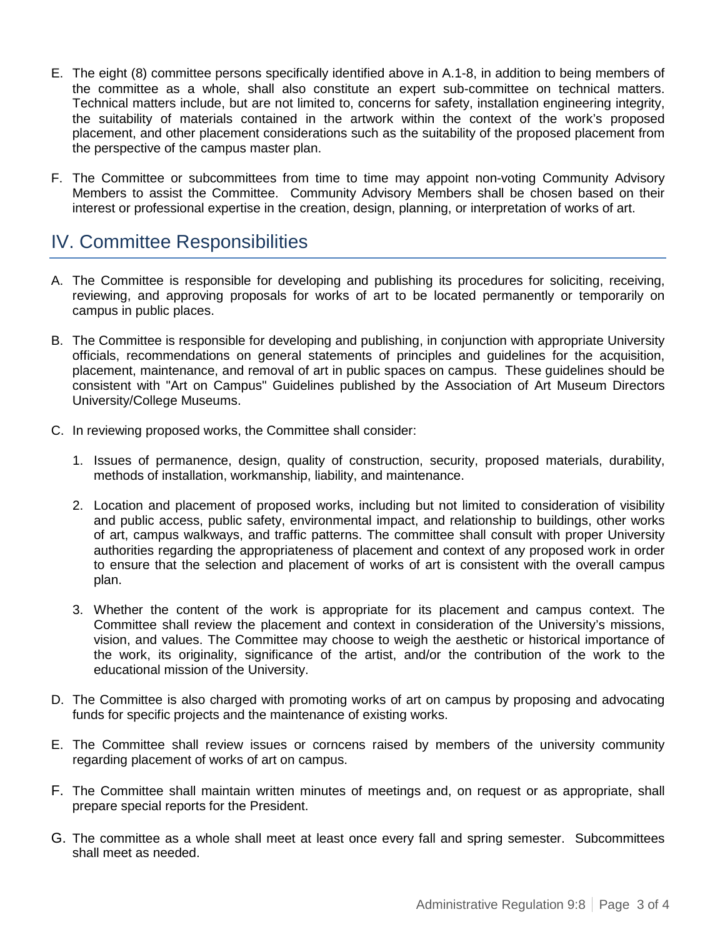- E. The eight (8) committee persons specifically identified above in A.1-8, in addition to being members of the committee as a whole, shall also constitute an expert sub-committee on technical matters. Technical matters include, but are not limited to, concerns for safety, installation engineering integrity, the suitability of materials contained in the artwork within the context of the work's proposed placement, and other placement considerations such as the suitability of the proposed placement from the perspective of the campus master plan.
- F. The Committee or subcommittees from time to time may appoint non-voting Community Advisory Members to assist the Committee. Community Advisory Members shall be chosen based on their interest or professional expertise in the creation, design, planning, or interpretation of works of art.

### <span id="page-2-0"></span>IV. Committee Responsibilities

- A. The Committee is responsible for developing and publishing its procedures for soliciting, receiving, reviewing, and approving proposals for works of art to be located permanently or temporarily on campus in public places.
- B. The Committee is responsible for developing and publishing, in conjunction with appropriate University officials, recommendations on general statements of principles and guidelines for the acquisition, placement, maintenance, and removal of art in public spaces on campus. These guidelines should be consistent with "Art on Campus" Guidelines published by the Association of Art Museum Directors University/College Museums.
- C. In reviewing proposed works, the Committee shall consider:
	- 1. Issues of permanence, design, quality of construction, security, proposed materials, durability, methods of installation, workmanship, liability, and maintenance.
	- 2. Location and placement of proposed works, including but not limited to consideration of visibility and public access, public safety, environmental impact, and relationship to buildings, other works of art, campus walkways, and traffic patterns. The committee shall consult with proper University authorities regarding the appropriateness of placement and context of any proposed work in order to ensure that the selection and placement of works of art is consistent with the overall campus plan.
	- 3. Whether the content of the work is appropriate for its placement and campus context. The Committee shall review the placement and context in consideration of the University's missions, vision, and values. The Committee may choose to weigh the aesthetic or historical importance of the work, its originality, significance of the artist, and/or the contribution of the work to the educational mission of the University.
- D. The Committee is also charged with promoting works of art on campus by proposing and advocating funds for specific projects and the maintenance of existing works.
- E. The Committee shall review issues or corncens raised by members of the university community regarding placement of works of art on campus.
- F. The Committee shall maintain written minutes of meetings and, on request or as appropriate, shall prepare special reports for the President.
- G. The committee as a whole shall meet at least once every fall and spring semester. Subcommittees shall meet as needed.